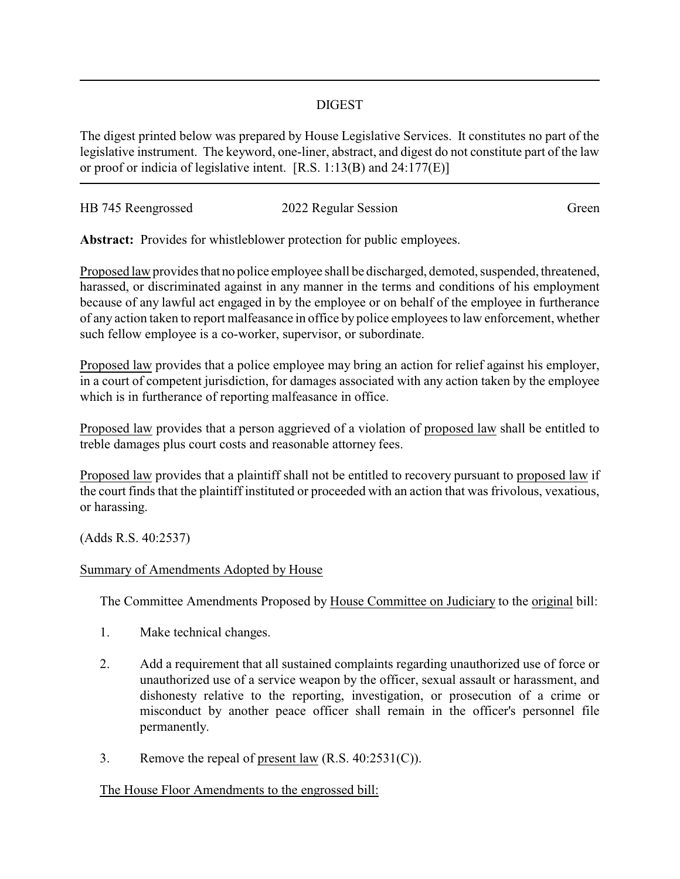## DIGEST

The digest printed below was prepared by House Legislative Services. It constitutes no part of the legislative instrument. The keyword, one-liner, abstract, and digest do not constitute part of the law or proof or indicia of legislative intent. [R.S. 1:13(B) and 24:177(E)]

| HB 745 Reengrossed | 2022 Regular Session | Green |
|--------------------|----------------------|-------|
|                    |                      |       |

**Abstract:** Provides for whistleblower protection for public employees.

Proposed law provides that no police employee shall be discharged, demoted, suspended, threatened, harassed, or discriminated against in any manner in the terms and conditions of his employment because of any lawful act engaged in by the employee or on behalf of the employee in furtherance of any action taken to report malfeasance in office by police employees to law enforcement, whether such fellow employee is a co-worker, supervisor, or subordinate.

Proposed law provides that a police employee may bring an action for relief against his employer, in a court of competent jurisdiction, for damages associated with any action taken by the employee which is in furtherance of reporting malfeasance in office.

Proposed law provides that a person aggrieved of a violation of proposed law shall be entitled to treble damages plus court costs and reasonable attorney fees.

Proposed law provides that a plaintiff shall not be entitled to recovery pursuant to proposed law if the court finds that the plaintiff instituted or proceeded with an action that was frivolous, vexatious, or harassing.

(Adds R.S. 40:2537)

## Summary of Amendments Adopted by House

The Committee Amendments Proposed by House Committee on Judiciary to the original bill:

- 1. Make technical changes.
- 2. Add a requirement that all sustained complaints regarding unauthorized use of force or unauthorized use of a service weapon by the officer, sexual assault or harassment, and dishonesty relative to the reporting, investigation, or prosecution of a crime or misconduct by another peace officer shall remain in the officer's personnel file permanently.
- 3. Remove the repeal of present law  $(R.S. 40:2531(C))$ .

## The House Floor Amendments to the engrossed bill: